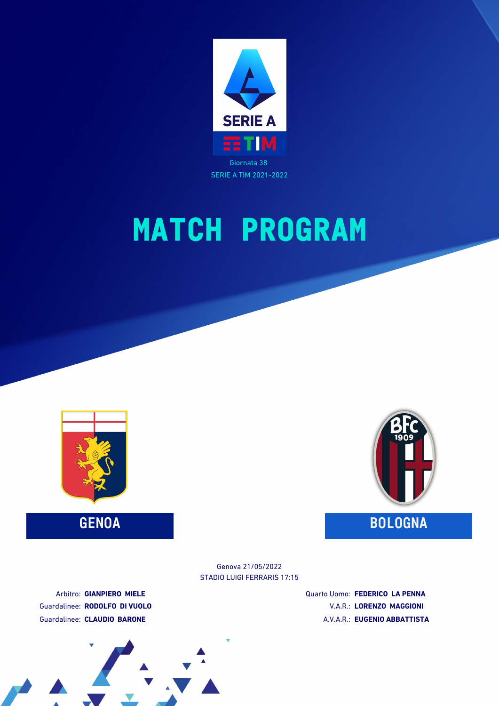



**GENOA BOLOGNA**



STADIO LUIGI FERRARIS 17:15 Genova 21/05/2022

Arbitro: **GIANPIERO MIELE** Guardalinee: **RODOLFO DI VUOLO** Guardalinee: **CLAUDIO BARONE**

Quarto Uomo: **FEDERICO LA PENNA** V.A.R.: **LORENZO MAGGIONI** A.V.A.R.: **EUGENIO ABBATTISTA**

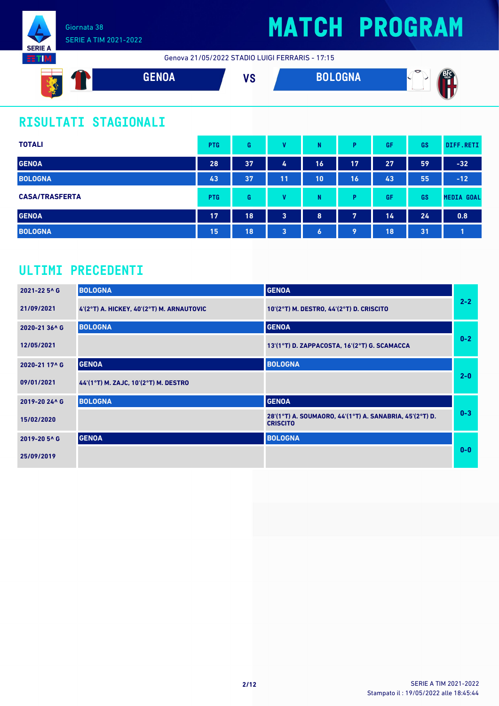

Genova 21/05/2022 STADIO LUIGI FERRARIS - 17:15



### **RISULTATI STAGIONALI**

| <b>TOTALI</b>         | <b>PTG</b> | G  | v  | N         | Þ  | GF | GS | DIFF.RETI         |
|-----------------------|------------|----|----|-----------|----|----|----|-------------------|
| <b>GENOA</b>          | 28         | 37 | 4  | 16        | 17 | 27 | 59 | $-32/$            |
| <b>BOLOGNA</b>        | 43         | 37 | 11 | 10        | 16 | 43 | 55 | $-12$             |
| <b>CASA/TRASFERTA</b> | <b>PTG</b> | G  | v  | N         | D  | GF | GS | <b>MEDIA GOAL</b> |
| <b>GENOA</b>          | 17         | 18 | 3  | 8         | 7  | 14 | 24 | 0.8               |
| <b>BOLOGNA</b>        | 15         | 18 | 3  | $\bullet$ | 9  | 18 | 31 |                   |

### **ULTIMI PRECEDENTI**

| 2021-22 5^ G  | <b>BOLOGNA</b>                                | <b>GENOA</b>                                                               |         |
|---------------|-----------------------------------------------|----------------------------------------------------------------------------|---------|
| 21/09/2021    | $4'(2°T)$ A. HICKEY, $40'(2°T)$ M. ARNAUTOVIC | 10'(2°T) M. DESTRO, 44'(2°T) D. CRISCITO                                   | $2 - 2$ |
| 2020-21 36^ G | <b>BOLOGNA</b>                                | <b>GENOA</b>                                                               |         |
| 12/05/2021    |                                               | 13'(1°T) D. ZAPPACOSTA, 16'(2°T) G. SCAMACCA                               | $0-2$   |
| 2020-21 17^ G | <b>GENOA</b>                                  | <b>BOLOGNA</b>                                                             |         |
| 09/01/2021    | 44'(1°T) M. ZAJC, 10'(2°T) M. DESTRO          |                                                                            | $2 - 0$ |
| 2019-20 24^ G | <b>BOLOGNA</b>                                | <b>GENOA</b>                                                               |         |
| 15/02/2020    |                                               | 28'(1°T) A. SOUMAORO, 44'(1°T) A. SANABRIA, 45'(2°T) D.<br><b>CRISCITO</b> | $0 - 3$ |
| 2019-20 5^ G  | <b>GENOA</b>                                  | <b>BOLOGNA</b>                                                             |         |
| 25/09/2019    |                                               |                                                                            | $0 - 0$ |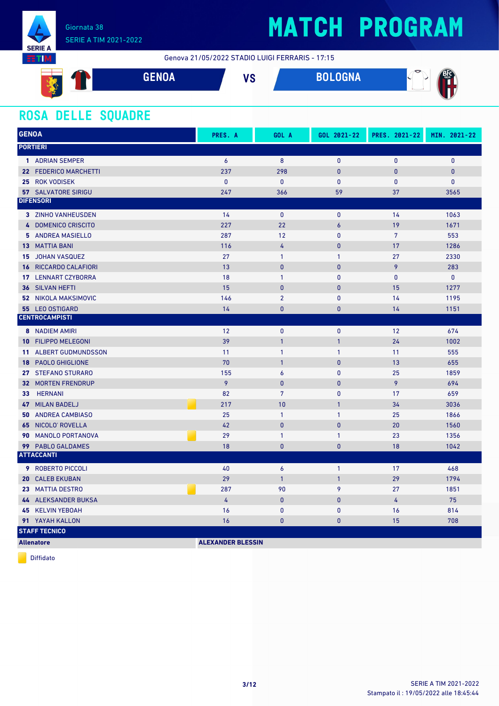

### SERIE A TIM 2021-2022

## **MATCH PROGRAM**

Genova 21/05/2022 STADIO LUIGI FERRARIS - 17:15



### **ROSA DELLE SQUADRE**

| <b>GENOA</b>                              | PRES. A        | GOL A            | GOL 2021-22      | PRES. 2021-22   | MIN. 2021-22 |
|-------------------------------------------|----------------|------------------|------------------|-----------------|--------------|
| <b>PORTIERI</b>                           |                |                  |                  |                 |              |
| 1 ADRIAN SEMPER                           | $\overline{6}$ | 8                | 0                | 0               | $\mathbf{0}$ |
| 22 FEDERICO MARCHETTI                     | 237            | 298              | $\mathbf{0}$     | 0               | $\mathbf{0}$ |
| 25 ROK VODISEK                            | $\mathbf{0}$   | $\mathbf{0}$     | 0                | 0               | $\mathbf{0}$ |
| <b>57 SALVATORE SIRIGU</b>                | 247            | 366              | 59               | 37              | 3565         |
| <b>DIFENSORI</b>                          |                |                  |                  |                 |              |
| 3 ZINHO VANHEUSDEN                        | 14             | $\mathbf{0}$     | $\mathbf{0}$     | 14              | 1063         |
| 4 DOMENICO CRISCITO                       | 227            | 22               | $\boldsymbol{6}$ | 19              | 1671         |
| 5 ANDREA MASIELLO                         | 287            | 12               | $\mathbf{0}$     | $7\overline{ }$ | 553          |
| <b>13 MATTIA BANI</b>                     | 116            | $\overline{4}$   | $\mathbf{0}$     | 17              | 1286         |
| <b>JOHAN VASQUEZ</b><br>15                | 27             | $\mathbf{1}$     | 1                | 27              | 2330         |
| <b>16 RICCARDO CALAFIORI</b>              | 13             | $\mathbf{0}$     | $\bf{0}$         | 9               | 283          |
| 17 LENNART CZYBORRA                       | 18             | $\mathbf{1}$     | $\mathbf{0}$     | 0               | $\mathbf{0}$ |
| <b>36 SILVAN HEFTI</b>                    | 15             | $\pmb{0}$        | $\mathbf{0}$     | 15              | 1277         |
| <b>52 NIKOLA MAKSIMOVIC</b>               | 146            | $\overline{2}$   | $\mathbf{0}$     | 14              | 1195         |
| 55 LEO OSTIGARD                           | 14             | $\bf{0}$         | $\bf{0}$         | 14              | 1151         |
| <b>CENTROCAMPISTI</b>                     |                |                  |                  |                 |              |
| 8 NADIEM AMIRI                            | 12             | $\mathbf{0}$     | $\mathbf{0}$     | 12              | 674          |
| 10 FILIPPO MELEGONI                       | 39             | $\overline{1}$   | $\mathbf{1}$     | 24              | 1002         |
| <b>11 ALBERT GUDMUNDSSON</b>              | 11             | $\mathbf{1}$     | $\mathbf{1}$     | 11              | 555          |
| <b>PAOLO GHIGLIONE</b><br>18 <sup>1</sup> | 70             | $\mathbf{1}$     | $\mathbf{0}$     | 13              | 655          |
| 27 STEFANO STURARO                        | 155            | $\boldsymbol{6}$ | 0                | 25              | 1859         |
| <b>32 MORTEN FRENDRUP</b>                 | 9              | $\mathbf{0}$     | $\mathbf{0}$     | 9               | 694          |
| <b>HERNANI</b><br>33 <sup>2</sup>         | 82             | $\overline{7}$   | $\mathbf{0}$     | 17              | 659          |
| <b>MILAN BADELJ</b><br>47                 | 217            | 10               | $\mathbf{1}$     | 34              | 3036         |
| <b>50 ANDREA CAMBIASO</b>                 | 25             | $\mathbf{1}$     | $\mathbf{1}$     | 25              | 1866         |
| 65 NICOLO' ROVELLA                        | 42             | $\mathbf{0}$     | $\mathbf{0}$     | 20              | 1560         |
| <b>MANOLO PORTANOVA</b><br>90.            | 29             | $\overline{1}$   | $\mathbf{1}$     | 23              | 1356         |
| 99 PABLO GALDAMES                         | 18             | $\bf{0}$         | $\bf{0}$         | 18              | 1042         |
| <b>ATTACCANTI</b>                         |                |                  |                  |                 |              |
| 9 ROBERTO PICCOLI                         | 40             | $\overline{6}$   | $\mathbf{1}$     | 17              | 468          |
| <b>CALEB EKUBAN</b><br>20                 | 29             | $\mathbf{1}$     | $\mathbf{1}$     | 29              | 1794         |
| 23 MATTIA DESTRO                          | 287            | 90               | 9                | 27              | 1851         |
| 44 ALEKSANDER BUKSA                       | 4              | $\pmb{0}$        | $\mathbf{0}$     | 4               | 75           |
| 45 KELVIN YEBOAH                          | 16             | $\bf{0}$         | $\bf{0}$         | 16              | 814          |
| <b>91 YAYAH KALLON</b>                    | 16             | $\mathbf{0}$     | $\mathbf{0}$     | 15              | 708          |
| <b>STAFF TECNICO</b>                      |                |                  |                  |                 |              |

**Allenatore ALEXANDER BLESSIN**

Diffidato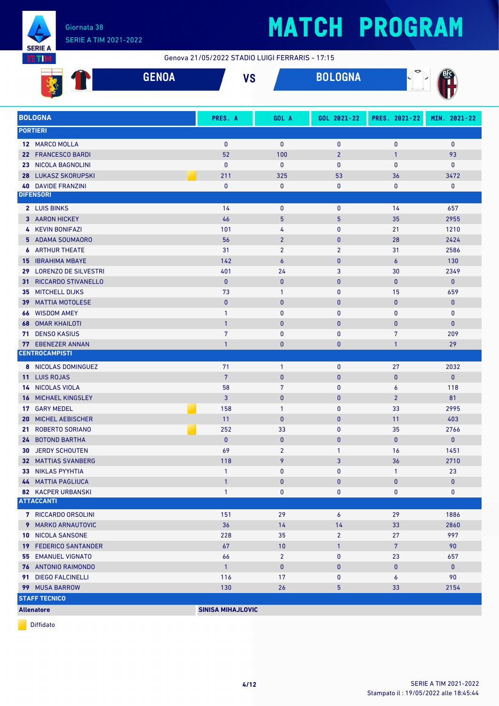

# **MATCH PROGRAM**

Genova 21/05/2022 STADIO LUIGI FERRARIS - 17:15

|      | <b>GENOA</b>                                   | <b>VS</b>                    |                  | <b>BOLOGNA</b>                 |                              |                 |
|------|------------------------------------------------|------------------------------|------------------|--------------------------------|------------------------------|-----------------|
|      | <b>BOLOGNA</b>                                 | PRES. A                      | GOL A            | GOL 2021-22                    | PRES. 2021-22                | MIN. 2021-22    |
|      | <b>PORTIERI</b>                                |                              |                  |                                |                              |                 |
|      | 12 MARCO MOLLA                                 | $\mathbf{0}$                 | $\mathbf{0}$     | $\mathbf 0$                    | $\mathbf 0$                  | $\mathbf 0$     |
|      | 22 FRANCESCO BARDI                             | 52                           | 100              | $\overline{2}$                 | $\mathbf{1}$                 | 93              |
|      | 23 NICOLA BAGNOLINI                            | $\mathbf{0}$                 | $\mathbf{0}$     | $\mathbf 0$                    | $\mathbf{0}$                 | $\pmb{0}$       |
|      | 28 LUKASZ SKORUPSKI                            | 211                          | 325              | 53                             | 36                           | 3472            |
|      | <b>40 DAVIDE FRANZINI</b>                      | 0                            | $\pmb{0}$        | 0                              | $\mathbf 0$                  | $\pmb{0}$       |
|      | <b>DIFENSORI</b>                               |                              |                  |                                |                              |                 |
|      | 2 LUIS BINKS                                   | 14                           | $\mathbf 0$      | $\mathbf 0$                    | 14                           | 657             |
|      | <b>3 AARON HICKEY</b>                          | 46                           | $5\phantom{.}$   | $\overline{5}$                 | 35                           | 2955            |
|      | 4 KEVIN BONIFAZI                               | 101                          | 4                | 0                              | 21                           | 1210            |
|      | 5 ADAMA SOUMAORO                               | 56                           | $\overline{2}$   | $\mathbf{0}$                   | 28                           | 2424            |
|      | <b>6 ARTHUR THEATE</b>                         | 31                           | $\overline{2}$   | $\overline{2}$                 | 31                           | 2586            |
|      | <b>15 IBRAHIMA MBAYE</b>                       | 142                          | $\boldsymbol{6}$ | $\mathbf 0$                    | $\boldsymbol{6}$             | 130             |
| 29.  | <b>LORENZO DE SILVESTRI</b>                    | 401                          | 24               | 3                              | 30                           | 2349            |
| 31.  | RICCARDO STIVANELLO                            | $\mathbf{0}$                 | $\mathbf{0}$     | $\mathbf{0}$                   | $\mathbf{0}$                 | $\mathbf{0}$    |
| 35.  | <b>MITCHELL DIJKS</b>                          | 73                           | $\mathbf{1}$     | 0                              | 15                           | 659             |
| 39.  | <b>MATTIA MOTOLESE</b>                         | $\mathbf{0}$                 | $\mathbf{0}$     | $\mathbf{0}$                   | $\bf{0}$                     | $\pmb{0}$       |
| 66 - | <b>WISDOM AMEY</b>                             | 1                            | $\mathbf{0}$     | 0                              | $\mathbf{0}$                 | $\mathbf 0$     |
|      | <b>68 OMAR KHAILOTI</b>                        | $\mathbf{1}$                 | $\mathbf{0}$     | $\mathbf{0}$                   | 0                            | $\mathbf{0}$    |
|      | <b>71 DENSO KASIUS</b>                         | 7                            | $\mathbf{0}$     | 0                              | 7                            | 209             |
| 77   | <b>EBENEZER ANNAN</b>                          | $\mathbf{1}$                 | $\mathbf{0}$     | $\mathbf 0$                    | $\mathbf{1}$                 | 29              |
|      | <b>CENTROCAMPISTI</b>                          |                              |                  |                                |                              |                 |
|      | 8 NICOLAS DOMINGUEZ                            | 71                           | $\mathbf{1}$     | $\mathbf 0$                    | 27                           | 2032            |
| 11   | <b>LUIS ROJAS</b>                              | $7\phantom{.0}$              | $\pmb{0}$        | $\mathbf{0}$                   | $\pmb{0}$                    | $\mathbf{0}$    |
| 14   | NICOLAS VIOLA                                  | 58                           | $\overline{7}$   | 0                              | 6                            | 118             |
|      | <b>16 MICHAEL KINGSLEY</b>                     | 3                            | $\mathbf{0}$     | $\mathbf{0}$                   | $\overline{2}$               | 81              |
|      | 17 GARY MEDEL                                  | 158                          | $\mathbf{1}$     | 0                              | 33                           | 2995            |
|      | <b>20 MICHEL AEBISCHER</b>                     | 11                           | $\mathbf{0}$     | $\mathbf 0$                    | 11                           | 403             |
|      | 21 ROBERTO SORIANO                             | 252                          | 33               | 0                              | 35                           | 2766            |
|      | 24 BOTOND BARTHA                               | $\pmb{0}$                    | $\pmb{0}$        | $\pmb{0}$                      | $\pmb{0}$                    | $\mathbf 0$     |
|      | <b>30 JERDY SCHOUTEN</b>                       | 69                           | $\overline{2}$   | 1                              | 16                           | 1451            |
|      | <b>32 MATTIAS SVANBERG</b>                     | 118                          | 9                | 3                              | 36                           | 2710            |
|      | 33 NIKLAS PYYHTIA<br><b>44 MATTIA PAGLIUCA</b> | $\mathbf{1}$<br>$\mathbf{1}$ | 0<br>$\bf{0}$    | 0<br>0                         | $\mathbf{1}$<br>$\mathbf{0}$ | 23<br>$\pmb{0}$ |
|      | <b>82 KACPER URBANSKI</b>                      | 1                            | 0                | 0                              | 0                            | 0               |
|      | <b>ATTACCANTI</b>                              |                              |                  |                                |                              |                 |
|      |                                                |                              |                  |                                |                              |                 |
|      | 7 RICCARDO ORSOLINI<br>9 MARKO ARNAUTOVIC      | 151<br>36                    | 29               | 6                              | 29<br>33                     | 1886<br>2860    |
|      | <b>10 NICOLA SANSONE</b>                       | 228                          | 14<br>35         | 14                             | 27                           | 997             |
|      | <b>19 FEDERICO SANTANDER</b>                   | 67                           | 10               | $\overline{2}$<br>$\mathbf{1}$ | $\overline{7}$               | 90              |
|      | <b>55 EMANUEL VIGNATO</b>                      | 66                           | $\overline{2}$   | 0                              | 23                           | 657             |
|      | 76 ANTONIO RAIMONDO                            | $\mathbf{1}$                 | $\bf{0}$         | 0                              | $\mathbf{0}$                 | $\mathbf{0}$    |
|      | 91 DIEGO FALCINELLI                            | 116                          | 17               | $\mathbf 0$                    | 6                            | 90              |
|      | 99 MUSA BARROW                                 | 130                          | 26               | 5                              | 33                           | 2154            |
|      | <b>STAFF TECNICO</b>                           |                              |                  |                                |                              |                 |
|      | <b>Allenatore</b>                              | <b>SINISA MIHAJLOVIC</b>     |                  |                                |                              |                 |

Diffidato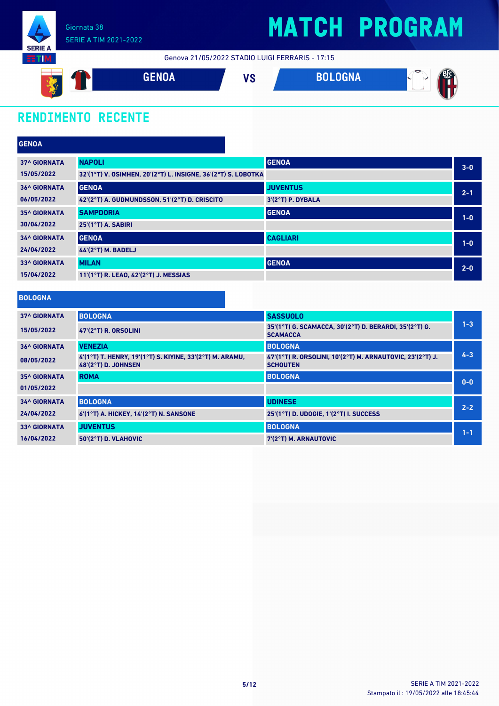

### SERIE A TIM 2021-2022

# **MATCH PROGRAM**

Genova 21/05/2022 STADIO LUIGI FERRARIS - 17:15



### **RENDIMENTO RECENTE**

| <b>GENOA</b>        |                                                               |                   |         |
|---------------------|---------------------------------------------------------------|-------------------|---------|
| <b>37^ GIORNATA</b> | <b>NAPOLI</b>                                                 | <b>GENOA</b>      | $3 - 0$ |
| 15/05/2022          | 32'(1°T) V. OSIMHEN, 20'(2°T) L. INSIGNE, 36'(2°T) S. LOBOTKA |                   |         |
| <b>36^ GIORNATA</b> | <b>GENOA</b>                                                  | <b>JUVENTUS</b>   | $2 - 1$ |
| 06/05/2022          | 42'(2°T) A. GUDMUNDSSON, 51'(2°T) D. CRISCITO                 | 3'(2°T) P. DYBALA |         |
| <b>35^ GIORNATA</b> | <b>SAMPDORIA</b>                                              | <b>GENOA</b>      | $1-0$   |
| 30/04/2022          | 25'(1°T) A. SABIRI                                            |                   |         |
| <b>34^ GIORNATA</b> | <b>GENOA</b>                                                  | <b>CAGLIARI</b>   | $1-0$   |
| 24/04/2022          | $44'(2°T)$ M. BADELJ                                          |                   |         |
| <b>33^ GIORNATA</b> | <b>MILAN</b>                                                  | <b>GENOA</b>      | $2 - 0$ |
| 15/04/2022          | 11'(1°T) R. LEAO, 42'(2°T) J. MESSIAS                         |                   |         |

| <b>BOLOGNA</b> |  |  |  |
|----------------|--|--|--|
|                |  |  |  |

| <b>37^ GIORNATA</b> | <b>BOLOGNA</b>                                                                         | <b>SASSUOLO</b>                                                              |         |
|---------------------|----------------------------------------------------------------------------------------|------------------------------------------------------------------------------|---------|
| 15/05/2022          | $47(2°T)$ R. ORSOLINI                                                                  | 35'(1°T) G. SCAMACCA, 30'(2°T) D. BERARDI, 35'(2°T) G.<br><b>SCAMACCA</b>    | $1 - 3$ |
| <b>36^ GIORNATA</b> | <b>VENEZIA</b>                                                                         | <b>BOLOGNA</b>                                                               |         |
| 08/05/2022          | 4'(1°T) T. HENRY, 19'(1°T) S. KIYINE, 33'(2°T) M. ARAMU,<br><b>48'(2°T) D. JOHNSEN</b> | 47'(1°T) R. ORSOLINI, 10'(2°T) M. ARNAUTOVIC, 23'(2°T) J.<br><b>SCHOUTEN</b> | $4 - 3$ |
| <b>35^ GIORNATA</b> | <b>ROMA</b>                                                                            | <b>BOLOGNA</b>                                                               |         |
| 01/05/2022          |                                                                                        |                                                                              | $0 - 0$ |
| <b>34^ GIORNATA</b> | <b>BOLOGNA</b>                                                                         | <b>UDINESE</b>                                                               | $2 - 2$ |
| 24/04/2022          | 6'(1°T) A. HICKEY, 14'(2°T) N. SANSONE                                                 | 25'(1°T) D. UDOGIE. 1'(2°T) I. SUCCESS                                       |         |
| <b>33^ GIORNATA</b> | <b>JUVENTUS</b>                                                                        | <b>BOLOGNA</b>                                                               | $1 - 1$ |
| 16/04/2022          | $50'(2°T)$ D. VLAHOVIC                                                                 | 7'(2°T) M. ARNAUTOVIC                                                        |         |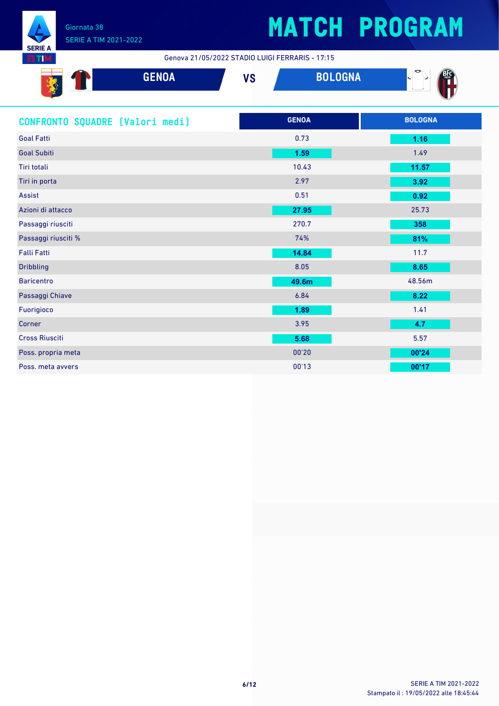

### SERIE A TIM 2021-2022

# **MATCH PROGRAM**

Genova 21/05/2022 STADIO LUIGI FERRARIS - 17:15

| <b>GENOA</b><br><b>RAD</b>      | <b>VS</b>    | ≂<br><b>BOLOGNA</b> |
|---------------------------------|--------------|---------------------|
| CONFRONTO SQUADRE [Valori medi] | <b>GENOA</b> | <b>BOLOGNA</b>      |
| <b>Goal Fatti</b>               | 0.73         | 1.16                |
| Goal Subiti                     | 1.59         | 1.49                |
| Tiri totali                     | 10.43        | 11.57               |
| Tiri in porta                   | 2.97         | 3.92                |
|                                 |              |                     |

| Assist                | 0.51  | 0.92   |
|-----------------------|-------|--------|
| Azioni di attacco     | 27.95 | 25.73  |
| Passaggi riusciti     | 270.7 | 358    |
| Passaggi riusciti %   | 74%   | 81%    |
| <b>Falli Fatti</b>    | 14.84 | 11.7   |
| <b>Dribbling</b>      | 8.05  | 8.65   |
| <b>Baricentro</b>     | 49.6m | 48.56m |
| Passaggi Chiave       | 6.84  | 8.22   |
| Fuorigioco            | 1.89  | 1.41   |
| Corner                | 3.95  | 4.7    |
| <b>Cross Riusciti</b> | 5.68  | 5.57   |
| Poss. propria meta    | 00'20 | 00'24  |
| Poss. meta avvers     | 00'13 | 00'17  |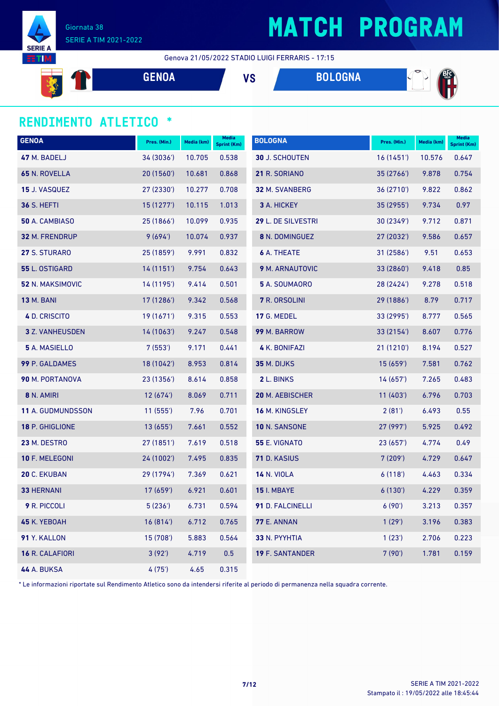

#### Genova 21/05/2022 STADIO LUIGI FERRARIS - 17:15





#### **RENDIMENTO ATLETICO \***

| <b>GENOA</b>             | Pres. (Min.) | Media (km) | <b>Media</b><br><b>Sprint (Km)</b> | <b>BOLOGNA</b>         | Pres. (Min.) | Media (km) | <b>Media</b><br>Sprint (Km) |
|--------------------------|--------------|------------|------------------------------------|------------------------|--------------|------------|-----------------------------|
| 47 M. BADELJ             | 34 (3036')   | 10.705     | 0.538                              | <b>30 J. SCHOUTEN</b>  | 16(1451)     | 10.576     | 0.647                       |
| 65 N. ROVELLA            | 20 (1560')   | 10.681     | 0.868                              | 21 R. SORIANO          | 35(2766)     | 9.878      | 0.754                       |
| <b>15 J. VASQUEZ</b>     | 27 (2330')   | 10.277     | 0.708                              | 32 M. SVANBERG         | 36(2710)     | 9.822      | 0.862                       |
| <b>36 S. HEFTI</b>       | 15(1277)     | 10.115     | 1.013                              | 3 A. HICKEY            | 35(2955)     | 9.734      | 0.97                        |
| 50 A. CAMBIASO           | 25 (1866')   | 10.099     | 0.935                              | 29 L. DE SILVESTRI     | 30 (2349')   | 9.712      | 0.871                       |
| 32 M. FRENDRUP           | 9(694)       | 10.074     | 0.937                              | 8 N. DOMINGUEZ         | 27 (2032')   | 9.586      | 0.657                       |
| 27 S. STURARO            | 25 (1859')   | 9.991      | 0.832                              | <b>6</b> A. THEATE     | 31(2586)     | 9.51       | 0.653                       |
| 55 L. OSTIGARD           | 14(1151)     | 9.754      | 0.643                              | <b>9 M. ARNAUTOVIC</b> | 33(2860)     | 9.418      | 0.85                        |
| <b>52 N. MAKSIMOVIC</b>  | 14 (1195')   | 9.414      | 0.501                              | 5 A. SOUMAORO          | 28 (2424')   | 9.278      | 0.518                       |
| <b>13 M. BANI</b>        | 17(1286)     | 9.342      | 0.568                              | 7 R. ORSOLINI          | 29(1886)     | 8.79       | 0.717                       |
| 4 D. CRISCITO            | 19(1671)     | 9.315      | 0.553                              | 17 G. MEDEL            | 33(2995)     | 8.777      | 0.565                       |
| <b>3</b> Z. VANHEUSDEN   | 14(1063)     | 9.247      | 0.548                              | 99 M. BARROW           | 33 (2154')   | 8.607      | 0.776                       |
| 5 A. MASIELLO            | 7(553)       | 9.171      | 0.441                              | 4 K. BONIFAZI          | 21(1210)     | 8.194      | 0.527                       |
| 99 P. GALDAMES           | 18 (1042')   | 8.953      | 0.814                              | 35 M. DIJKS            | 15(659)      | 7.581      | 0.762                       |
| <b>90 M. PORTANOVA</b>   | 23 (1356')   | 8.614      | 0.858                              | 2 L. BINKS             | 14 (657')    | 7.265      | 0.483                       |
| 8 N. AMIRI               | 12(674)      | 8.069      | 0.711                              | <b>20 M. AEBISCHER</b> | 11 (403')    | 6.796      | 0.703                       |
| <b>11 A. GUDMUNDSSON</b> | 11(555)      | 7.96       | 0.701                              | <b>16 M. KINGSLEY</b>  | 2(81)        | 6.493      | 0.55                        |
| 18 P. GHIGLIONE          | 13(655)      | 7.661      | 0.552                              | 10 N. SANSONE          | 27 (997')    | 5.925      | 0.492                       |
| 23 M. DESTRO             | 27 (1851')   | 7.619      | 0.518                              | 55 E. VIGNATO          | 23 (657')    | 4.774      | 0.49                        |
| 10 F. MELEGONI           | 24 (1002')   | 7.495      | 0.835                              | 71 D. KASIUS           | 7(209)       | 4.729      | 0.647                       |
| 20 C. EKUBAN             | 29 (1794')   | 7.369      | 0.621                              | <b>14 N. VIOLA</b>     | 6(118)       | 4.463      | 0.334                       |
| <b>33 HERNANI</b>        | 17(659)      | 6.921      | 0.601                              | <b>15 I. MBAYE</b>     | 6(130)       | 4.229      | 0.359                       |
| <b>9</b> R. PICCOLI      | 5(236)       | 6.731      | 0.594                              | 91 D. FALCINELLI       | 6(90)        | 3.213      | 0.357                       |
| 45 K. YEBOAH             | 16(814)      | 6.712      | 0.765                              | <b>77 E. ANNAN</b>     | 1(29)        | 3.196      | 0.383                       |
| 91 Y. KALLON             | 15(708)      | 5.883      | 0.564                              | 33 N. PYYHTIA          | 1(23')       | 2.706      | 0.223                       |
| 16 R. CALAFIORI          | 3(92)        | 4.719      | 0.5                                | <b>19 F. SANTANDER</b> | 7(90)        | 1.781      | 0.159                       |
| <b>44 A. BUKSA</b>       | 4 (75')      | 4.65       | 0.315                              |                        |              |            |                             |

\* Le informazioni riportate sul Rendimento Atletico sono da intendersi riferite al periodo di permanenza nella squadra corrente.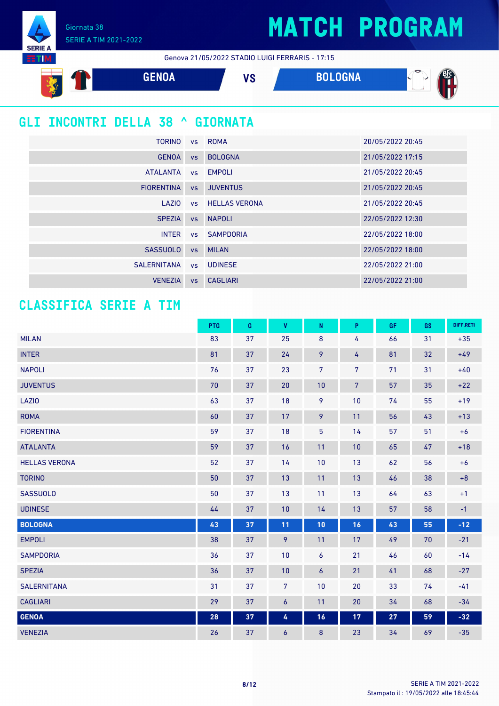Giornata 38 SERIE A TIM 2021-2022

**SERIE A BTIM** 

Genova 21/05/2022 STADIO LUIGI FERRARIS - 17:15



### **GLI INCONTRI DELLA 38 ^ GIORNATA**

| TORINO             |           | vs ROMA                 | 20/05/2022 20:45 |
|--------------------|-----------|-------------------------|------------------|
| <b>GENOA</b>       | <b>VS</b> | <b>BOLOGNA</b>          | 21/05/2022 17:15 |
| <b>ATALANTA</b>    |           | vs EMPOLI               | 21/05/2022 20:45 |
| <b>FIORENTINA</b>  | <b>VS</b> | <b>JUVENTUS</b>         | 21/05/2022 20:45 |
| LAZIO              |           | <b>vs</b> HELLAS VERONA | 21/05/2022 20:45 |
| <b>SPEZIA</b>      | <b>VS</b> | <b>NAPOLI</b>           | 22/05/2022 12:30 |
| <b>INTER</b>       |           | vs SAMPDORIA            | 22/05/2022 18:00 |
| <b>SASSUOLO</b>    | VS        | <b>MILAN</b>            | 22/05/2022 18:00 |
| <b>SALERNITANA</b> |           | vs UDINESE              | 22/05/2022 21:00 |
| <b>VENEZIA</b>     | <b>VS</b> | <b>CAGLIARI</b>         | 22/05/2022 21:00 |

### **CLASSIFICA SERIE A TIM**

|                      | <b>PTG</b> | G  | $\pmb{\mathsf{V}}$ | ${\sf N}$      | P              | GF | GS | DIFF.RETI |
|----------------------|------------|----|--------------------|----------------|----------------|----|----|-----------|
| <b>MILAN</b>         | 83         | 37 | 25                 | 8              | 4              | 66 | 31 | $+35$     |
| <b>INTER</b>         | 81         | 37 | 24                 | 9              | 4              | 81 | 32 | $+49$     |
| <b>NAPOLI</b>        | 76         | 37 | 23                 | 7              | 7              | 71 | 31 | $+40$     |
| <b>JUVENTUS</b>      | 70         | 37 | 20                 | 10             | $\overline{7}$ | 57 | 35 | $+22$     |
| <b>LAZIO</b>         | 63         | 37 | 18                 | 9              | 10             | 74 | 55 | $+19$     |
| <b>ROMA</b>          | 60         | 37 | 17                 | 9              | 11             | 56 | 43 | $+13$     |
| <b>FIORENTINA</b>    | 59         | 37 | 18                 | $\overline{5}$ | 14             | 57 | 51 | $+6$      |
| <b>ATALANTA</b>      | 59         | 37 | 16                 | 11             | 10             | 65 | 47 | $+18$     |
| <b>HELLAS VERONA</b> | 52         | 37 | 14                 | 10             | 13             | 62 | 56 | $+6$      |
| <b>TORINO</b>        | 50         | 37 | 13                 | 11             | 13             | 46 | 38 | $+8$      |
| <b>SASSUOLO</b>      | 50         | 37 | 13                 | 11             | 13             | 64 | 63 | $+1$      |
| <b>UDINESE</b>       | 44         | 37 | 10                 | 14             | 13             | 57 | 58 | $-1$      |
| <b>BOLOGNA</b>       | 43         | 37 | 11                 | 10             | 16             | 43 | 55 | $-12$     |
| <b>EMPOLI</b>        | 38         | 37 | 9                  | 11             | 17             | 49 | 70 | $-21$     |
| <b>SAMPDORIA</b>     | 36         | 37 | 10                 | 6              | 21             | 46 | 60 | $-14$     |
| <b>SPEZIA</b>        | 36         | 37 | 10                 | 6              | 21             | 41 | 68 | $-27$     |
| <b>SALERNITANA</b>   | 31         | 37 | $\overline{7}$     | 10             | 20             | 33 | 74 | $-41$     |
| <b>CAGLIARI</b>      | 29         | 37 | $\boldsymbol{6}$   | 11             | 20             | 34 | 68 | $-34$     |
| <b>GENOA</b>         | 28         | 37 | 4                  | 16             | 17             | 27 | 59 | $-32$     |
| <b>VENEZIA</b>       | 26         | 37 | 6                  | $\bf 8$        | 23             | 34 | 69 | $-35$     |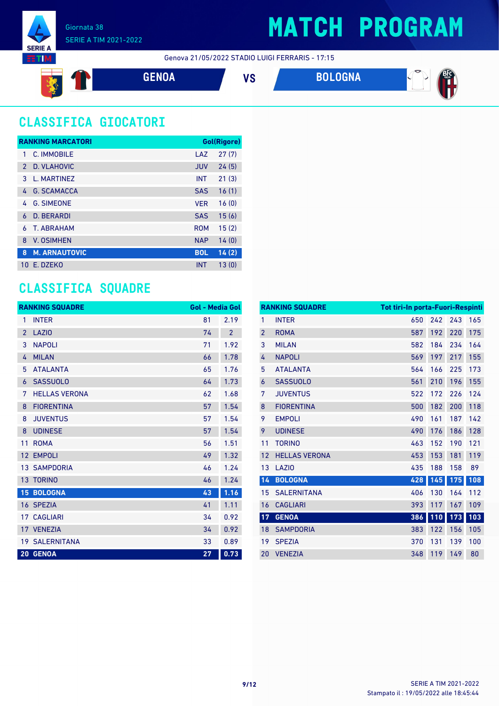

Genova 21/05/2022 STADIO LUIGI FERRARIS - 17:15



### **CLASSIFICA GIOCATORI**

|               | <b>RANKING MARCATORI</b> |            | Gol(Rigore) |
|---------------|--------------------------|------------|-------------|
| 1             | C. IMMOBILE              | LAZ        | 27(7)       |
| $\mathcal{P}$ | D. VLAHOVIC              | <b>JUV</b> | 24(5)       |
| 3             | L. MARTINEZ              | <b>INT</b> | 21(3)       |
| 4             | <b>G. SCAMACCA</b>       | <b>SAS</b> | 16(1)       |
| 4             | <b>G. SIMEONE</b>        | <b>VER</b> | 16(0)       |
| 6             | <b>D. BERARDI</b>        | <b>SAS</b> | 15(6)       |
| К             | <b>T. ABRAHAM</b>        | <b>ROM</b> | 15(2)       |
| 8             | <b>V. OSIMHEN</b>        | <b>NAP</b> | 14(0)       |
| 8             | <b>M. ARNAUTOVIC</b>     | <b>BOL</b> | 14(2)       |
| 10            | E. DZEKO                 | <b>INT</b> | 13(0)       |

#### **CLASSIFICA SQUADRE**

|                 | <b>RANKING SQUADRE</b> | <b>Gol - Media Gol</b> |                |
|-----------------|------------------------|------------------------|----------------|
| 1               | <b>INTER</b>           | 81                     | 2.19           |
| $\overline{2}$  | <b>LAZIO</b>           | 74                     | $\overline{2}$ |
| 3               | <b>NAPOLI</b>          | 71                     | 1.92           |
| 4               | <b>MILAN</b>           | 66                     | 1.78           |
| 5               | <b>ATALANTA</b>        | 65                     | 1.76           |
| 6               | <b>SASSUOLO</b>        | 64                     | 1.73           |
| 7               | <b>HELLAS VERONA</b>   | 62                     | 1.68           |
| 8               | <b>FIORENTINA</b>      | 57                     | 1.54           |
| 8               | <b>JUVENTUS</b>        | 57                     | 1.54           |
| 8               | <b>UDINESE</b>         | 57                     | 1.54           |
| 11              | <b>ROMA</b>            | 56                     | 1.51           |
| 12              | <b>EMPOLI</b>          | 49                     | 1.32           |
|                 | <b>13 SAMPDORIA</b>    | 46                     | 1.24           |
|                 | 13 TORINO              | 46                     | 1.24           |
|                 | <b>15 BOLOGNA</b>      | 43                     | 1.16           |
|                 | 16 SPEZIA              | 41                     | 1.11           |
| 17 <sup>1</sup> | <b>CAGLIARI</b>        | 34                     | 0.92           |
|                 | 17 VENEZIA             | 34                     | 0.92           |
|                 | <b>19 SALERNITANA</b>  | 33                     | 0.89           |
|                 | 20 GENOA               | 27                     | 0.73           |

|                | <b>RANKING SQUADRE</b> | Tot tiri-In porta-Fuori-Respinti |       |     |     |
|----------------|------------------------|----------------------------------|-------|-----|-----|
| 1              | <b>INTER</b>           | 650                              | 242   | 243 | 165 |
| $\overline{2}$ | <b>ROMA</b>            | 587                              | 192   | 220 | 175 |
| 3              | <b>MILAN</b>           | 582                              | 184   | 234 | 164 |
| 4              | <b>NAPOLI</b>          | 569                              | 197   | 217 | 155 |
| 5              | <b>ATALANTA</b>        | 564                              | 166   | 225 | 173 |
| 6              | <b>SASSUOLO</b>        | 561                              | 210   | 196 | 155 |
| 7              | <b>JUVENTUS</b>        | 522                              | 172   | 226 | 124 |
| 8              | <b>FIORENTINA</b>      | 500                              | 182   | 200 | 118 |
| 9              | <b>EMPOLI</b>          | 490                              | 161   | 187 | 142 |
| 9              | <b>UDINESE</b>         | 490                              | 176   | 186 | 128 |
| 11             | <b>TORINO</b>          | 463                              | 152   | 190 | 121 |
| 12             | <b>HELLAS VERONA</b>   | 453                              | 153   | 181 | 119 |
| 13             | <b>LAZIO</b>           | 435                              | 188   | 158 | 89  |
| 14             | <b>BOLOGNA</b>         | 428                              | $145$ | 175 | 108 |
| 15             | <b>SALERNITANA</b>     | 406                              | 130   | 164 | 112 |
| 16             | <b>CAGLIARI</b>        | 393                              | 117   | 167 | 109 |
| 17             | <b>GENOA</b>           | 386                              | 110   | 173 | 103 |
| 18             | <b>SAMPDORIA</b>       | 383                              | 122   | 156 | 105 |
| 19             | <b>SPEZIA</b>          | 370                              | 131   | 139 | 100 |
| 20             | <b>VENEZIA</b>         | 348                              | 119   | 149 | 80  |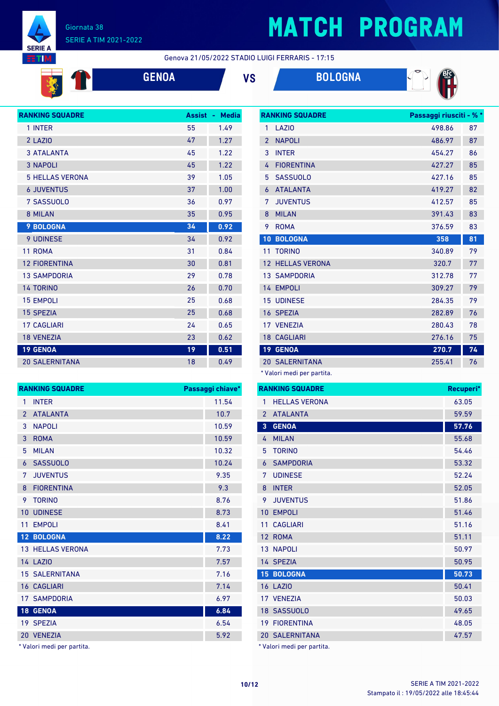

# **MATCH PROGRAM**

**RANKING SQUADRE Passaggi riusciti - % \***

Genova 21/05/2022 STADIO LUIGI FERRARIS - 17:15





| <b>RANKING SQUADRE</b> | <b>Assist</b> | <b>Media</b><br>٠ |
|------------------------|---------------|-------------------|
| 1 INTER                | 55            | 1.49              |
| 2 LAZIO                | 47            | 1.27              |
| <b>3 ATALANTA</b>      | 45            | 1.22              |
| <b>3 NAPOLI</b>        | 45            | 1.22              |
| <b>5 HELLAS VERONA</b> | 39            | 1.05              |
| <b>6 JUVENTUS</b>      | 37            | 1.00              |
| 7 SASSUOLO             | 36            | 0.97              |
| 8 MILAN                | 35            | 0.95              |
| <b>9 BOLOGNA</b>       | 34            | 0.92              |
| <b>9 UDINESE</b>       | 34            | 0.92              |
| 11 ROMA                | 31            | 0.84              |
| <b>12 FIORENTINA</b>   | 30            | 0.81              |
| <b>13 SAMPDORIA</b>    | 29            | 0.78              |
| <b>14 TORINO</b>       | 26            | 0.70              |
| <b>15 EMPOLI</b>       | 25            | 0.68              |
| <b>15 SPEZIA</b>       | 25            | 0.68              |
| <b>17 CAGLIARI</b>     | 24            | 0.65              |
| <b>18 VENEZIA</b>      | 23            | 0.62              |
| <b>19 GENOA</b>        | 19            | 0.51              |
| <b>20 SALERNITANA</b>  | 18            | 0.49              |

| 1                        | LAZI <sub>0</sub>    | 498.86 | 87 |
|--------------------------|----------------------|--------|----|
| $\overline{\phantom{0}}$ | <b>NAPOLI</b>        | 486.97 | 87 |
| 3                        | <b>INTER</b>         | 454.27 | 86 |
| 4                        | <b>FIORENTINA</b>    | 427.27 | 85 |
| 5                        | <b>SASSUOLO</b>      | 427.16 | 85 |
| 6                        | <b>ATALANTA</b>      | 419.27 | 82 |
| 7                        | <b>JUVENTUS</b>      | 412.57 | 85 |
| 8                        | <b>MILAN</b>         | 391.43 | 83 |
| 9                        | <b>ROMA</b>          | 376.59 | 83 |
| 10                       | <b>BOLOGNA</b>       | 358    | 81 |
|                          |                      |        |    |
| 11                       | <b>TORINO</b>        | 340.89 | 79 |
| 12                       | <b>HELLAS VERONA</b> | 320.7  | 77 |
|                          | <b>13 SAMPDORIA</b>  | 312.78 | 77 |
| 14                       | <b>EMPOLI</b>        | 309.27 | 79 |
| 15                       | <b>UDINESE</b>       | 284.35 | 79 |
|                          | 16 SPEZIA            | 282.89 | 76 |
|                          | 17 VENEZIA           | 280.43 | 78 |
|                          | <b>18 CAGLIARI</b>   | 276.16 | 75 |
|                          | 19 GENOA             | 270.7  | 74 |

\* Valori medi per partita.

|                | <b>RANKING SQUADRE</b>     | Recuperi* |
|----------------|----------------------------|-----------|
| 1              | <b>HELLAS VERONA</b>       | 63.05     |
| $\overline{2}$ | <b>ATALANTA</b>            | 59.59     |
| 3              | <b>GENOA</b>               | 57.76     |
| 4              | <b>MILAN</b>               | 55.68     |
| 5              | <b>TORINO</b>              | 54.46     |
| 6              | <b>SAMPDORIA</b>           | 53.32     |
| 7              | <b>UDINESE</b>             | 52.24     |
| 8              | <b>INTER</b>               | 52.05     |
| 9              | <b>JUVENTUS</b>            | 51.86     |
| 10             | <b>EMPOLI</b>              | 51.46     |
| 11             | <b>CAGLIARI</b>            | 51.16     |
|                | 12 ROMA                    | 51.11     |
|                | 13 NAPOLI                  | 50.97     |
|                | 14 SPEZIA                  | 50.95     |
|                | <b>15 BOLOGNA</b>          | 50.73     |
|                | <b>16 LAZIO</b>            | 50.41     |
|                | 17 VENEZIA                 | 50.03     |
|                | 18 SASSUOLO                | 49.65     |
|                | <b>19 FIORENTINA</b>       | 48.05     |
|                | <b>20 SALERNITANA</b>      | 47.57     |
|                | * Valori medi per partita. |           |

|                 | <b>RANKING SQUADRE</b>  | Passaggi chiave* |
|-----------------|-------------------------|------------------|
| 1               | <b>INTER</b>            | 11.54            |
| $\mathfrak{p}$  | <b>ATALANTA</b>         | 10.7             |
| 3               | <b>NAPOLI</b>           | 10.59            |
| 3               | <b>ROMA</b>             | 10.59            |
| 5               | <b>MILAN</b>            | 10.32            |
| 6               | <b>SASSUOLO</b>         | 10.24            |
| 7               | <b>JUVENTUS</b>         | 9.35             |
| 8               | <b>FIORENTINA</b>       | 9.3              |
| 9               | <b>TORINO</b>           | 8.76             |
| 10              | <b>UDINESE</b>          | 8.73             |
| 11              | <b>EMPOLI</b>           | 8.41             |
|                 | 12 BOLOGNA              | 8.22             |
|                 | <b>13 HELLAS VERONA</b> | 7.73             |
|                 | <b>14 LAZIO</b>         | 7.57             |
|                 | <b>15 SALERNITANA</b>   | 7.16             |
|                 | <b>16 CAGLIARI</b>      | 7.14             |
|                 | <b>17 SAMPDORIA</b>     | 6.97             |
| 18 <sup>°</sup> | <b>GENOA</b>            | 6.84             |
|                 | 19 SPEZIA               | 6.54             |
| 20              | <b>VENEZIA</b>          | 5.92             |
|                 |                         |                  |

\* Valori medi per partita.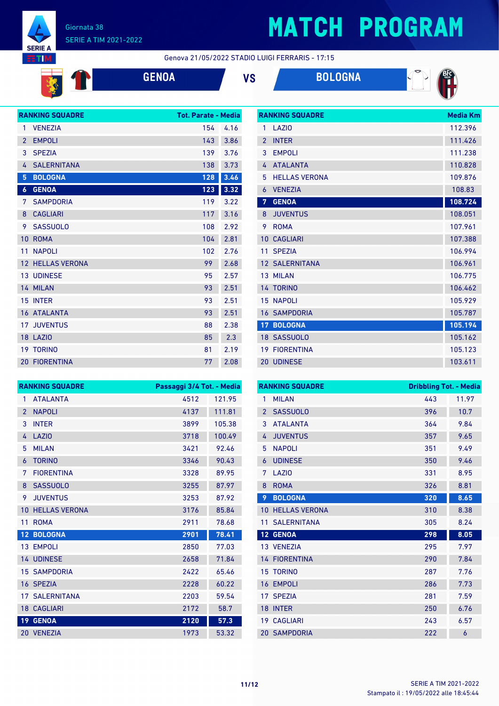

## **MATCH PROGRAM**

**RANKING SQUADRE Media Km** 

Genova 21/05/2022 STADIO LUIGI FERRARIS - 17:15

| $\mathcal{L}^{\text{max}}_{\text{max}}$ and $\mathcal{L}^{\text{max}}_{\text{max}}$ and $\mathcal{L}^{\text{max}}_{\text{max}}$ and $\mathcal{L}^{\text{max}}_{\text{max}}$ |  | <b>Service Service</b>                                                                   |
|-----------------------------------------------------------------------------------------------------------------------------------------------------------------------------|--|------------------------------------------------------------------------------------------|
|                                                                                                                                                                             |  |                                                                                          |
|                                                                                                                                                                             |  | $\mathcal{L}(\mathcal{L})$                                                               |
|                                                                                                                                                                             |  | $\mathcal{L}(\mathcal{L})$ and $\mathcal{L}(\mathcal{L})$ and $\mathcal{L}(\mathcal{L})$ |





|                 | <b>RANKING SQUADRE</b> | <b>Tot. Parate - Media</b> |      |
|-----------------|------------------------|----------------------------|------|
| 1               | <b>VENEZIA</b>         | 154                        | 4.16 |
| $\overline{2}$  | <b>EMPOLI</b>          | 143                        | 3.86 |
| 3               | <b>SPEZIA</b>          | 139                        | 3.76 |
| 4               | <b>SALERNITANA</b>     | 138                        | 3.73 |
| 5               | <b>BOLOGNA</b>         | 128                        | 3.46 |
| 6               | <b>GENOA</b>           | 123                        | 3.32 |
| 7               | <b>SAMPDORIA</b>       | 119                        | 3.22 |
| 8               | <b>CAGLIARI</b>        | 117                        | 3.16 |
| 9               | <b>SASSUOLO</b>        | 108                        | 2.92 |
| 10              | <b>ROMA</b>            | 104                        | 2.81 |
| 11              | <b>NAPOLI</b>          | 102                        | 2.76 |
| 12 <sup>2</sup> | <b>HELLAS VERONA</b>   | 99                         | 2.68 |
|                 | <b>13 UDINESE</b>      | 95                         | 2.57 |
|                 | 14 MILAN               | 93                         | 2.51 |
| 15              | <b>INTER</b>           | 93                         | 2.51 |
| 16              | <b>ATALANTA</b>        | 93                         | 2.51 |
| 17 <sup>1</sup> | <b>JUVENTUS</b>        | 88                         | 2.38 |
|                 | <b>18 LAZIO</b>        | 85                         | 2.3  |
|                 | <b>19 TORINO</b>       | 81                         | 2.19 |
|                 | <b>20 FIORENTINA</b>   | 77                         | 2.08 |

| 1               | <b>LAZIO</b>          | 112.396 |
|-----------------|-----------------------|---------|
| $\overline{2}$  | <b>INTER</b>          | 111.426 |
| 3               | <b>EMPOLI</b>         | 111.238 |
| 4               | <b>ATALANTA</b>       | 110.828 |
| 5               | <b>HELLAS VERONA</b>  | 109.876 |
| 6               | <b>VENEZIA</b>        | 108.83  |
| 7               | <b>GENOA</b>          | 108.724 |
| 8               | <b>JUVENTUS</b>       | 108.051 |
| 9               | <b>ROMA</b>           | 107.961 |
| 10              | <b>CAGLIARI</b>       | 107.388 |
| 11              | <b>SPEZIA</b>         | 106.994 |
|                 | <b>12 SALERNITANA</b> | 106.961 |
|                 | 13 MILAN              | 106.775 |
|                 | 14 TORINO             | 106.462 |
|                 | <b>15 NAPOLI</b>      | 105.929 |
|                 | <b>16 SAMPDORIA</b>   | 105.787 |
| 17 <sup>2</sup> | <b>BOLOGNA</b>        | 105.194 |
|                 | 18 SASSUOLO           | 105.162 |
| 19 <sup>°</sup> | <b>FIORENTINA</b>     | 105.123 |
|                 | <b>20 UDINESE</b>     | 103.611 |

| <b>RANKING SQUADRE</b> |                       | Passaggi 3/4 Tot. - Media |        |
|------------------------|-----------------------|---------------------------|--------|
| 1                      | <b>ATALANTA</b>       | 4512                      | 121.95 |
| $\overline{2}$         | <b>NAPOLI</b>         | 4137                      | 111.81 |
| 3                      | <b>INTER</b>          | 3899                      | 105.38 |
| 4                      | LAZIO                 | 3718                      | 100.49 |
| 5                      | <b>MILAN</b>          | 3421                      | 92.46  |
| 6                      | <b>TORINO</b>         | 3346                      | 90.43  |
| 7                      | <b>FIORENTINA</b>     | 3328                      | 89.95  |
| 8                      | <b>SASSUOLO</b>       | 3255                      | 87.97  |
| 9                      | <b>JUVENTUS</b>       | 3253                      | 87.92  |
| 10                     | <b>HELLAS VERONA</b>  | 3176                      | 85.84  |
| 11                     | <b>ROMA</b>           | 2911                      | 78.68  |
| $\overline{12}$        | <b>BOLOGNA</b>        | 2901                      | 78.41  |
|                        | 13 EMPOLI             | 2850                      | 77.03  |
|                        | <b>14 UDINESE</b>     | 2658                      | 71.84  |
|                        | <b>15 SAMPDORIA</b>   | 2422                      | 65.46  |
|                        | 16 SPEZIA             | 2228                      | 60.22  |
|                        | <b>17 SALERNITANA</b> | 2203                      | 59.54  |
|                        | <b>18 CAGLIARI</b>    | 2172                      | 58.7   |
| 19 <sup>°</sup>        | <b>GENOA</b>          | 2120                      | 57.3   |
|                        | 20 VENEZIA            | 1973                      | 53.32  |

| <b>RANKING SQUADRE</b> |                      | <b>Dribbling Tot. - Media</b> |       |
|------------------------|----------------------|-------------------------------|-------|
| 1                      | <b>MILAN</b>         | 443                           | 11.97 |
| $\overline{2}$         | <b>SASSUOLO</b>      | 396                           | 10.7  |
| 3                      | <b>ATALANTA</b>      | 364                           | 9.84  |
| 4                      | <b>JUVENTUS</b>      | 357                           | 9.65  |
| 5                      | <b>NAPOLI</b>        | 351                           | 9.49  |
| 6                      | <b>UDINESE</b>       | 350                           | 9.46  |
| 7                      | LAZI <sub>0</sub>    | 331                           | 8.95  |
| 8                      | <b>ROMA</b>          | 326                           | 8.81  |
| 9                      | <b>BOLOGNA</b>       | 320                           | 8.65  |
| 10                     | <b>HELLAS VERONA</b> | 310                           | 8.38  |
| 11                     | <b>SALERNITANA</b>   | 305                           | 8.24  |
| 12 <sup>°</sup>        | <b>GENOA</b>         | 298                           | 8.05  |
|                        | 13 VENEZIA           | 295                           | 7.97  |
|                        | <b>14 FIORENTINA</b> | 290                           | 7.84  |
| 15                     | <b>TORINO</b>        | 287                           | 7.76  |
| 16                     | <b>EMPOLI</b>        | 286                           | 7.73  |
| 17                     | <b>SPEZIA</b>        | 281                           | 7.59  |
| 18                     | <b>INTER</b>         | 250                           | 6.76  |
| 19                     | <b>CAGLIARI</b>      | 243                           | 6.57  |
|                        | <b>20 SAMPDORIA</b>  | 222                           | 6     |